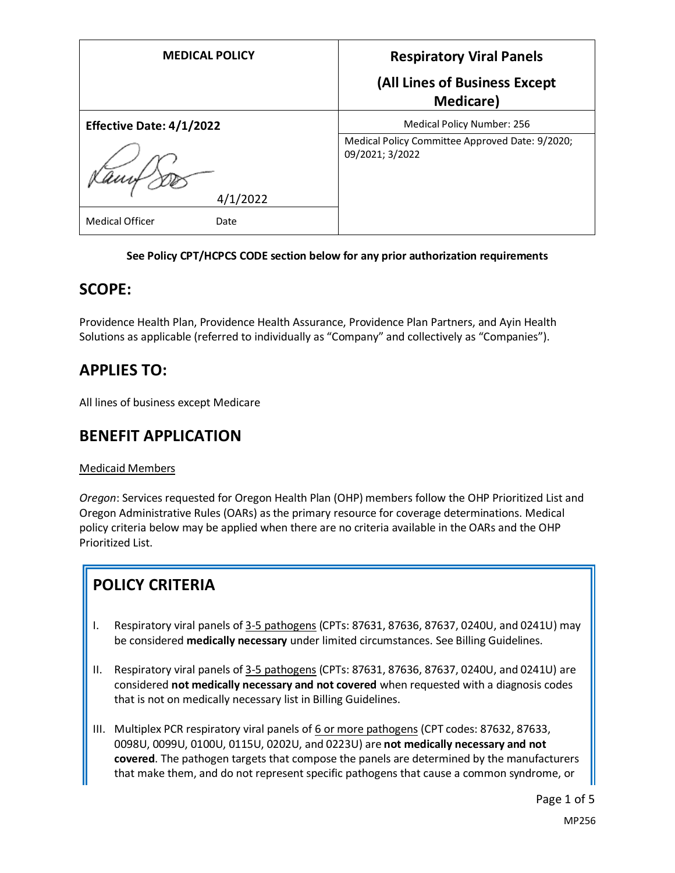| <b>MEDICAL POLICY</b>          | <b>Respiratory Viral Panels</b>                                    |
|--------------------------------|--------------------------------------------------------------------|
|                                | (All Lines of Business Except<br><b>Medicare</b> )                 |
| Effective Date: 4/1/2022       | Medical Policy Number: 256                                         |
|                                | Medical Policy Committee Approved Date: 9/2020;<br>09/2021; 3/2022 |
| 4/1/2022                       |                                                                    |
| <b>Medical Officer</b><br>Date |                                                                    |

### **See Policy CPT/HCPCS CODE section below for any prior authorization requirements**

## **SCOPE:**

Providence Health Plan, Providence Health Assurance, Providence Plan Partners, and Ayin Health Solutions as applicable (referred to individually as "Company" and collectively as "Companies").

## **APPLIES TO:**

All lines of business except Medicare

# **BENEFIT APPLICATION**

### Medicaid Members

*Oregon*: Services requested for Oregon Health Plan (OHP) members follow the OHP Prioritized List and Oregon Administrative Rules (OARs) as the primary resource for coverage determinations. Medical policy criteria below may be applied when there are no criteria available in the OARs and the OHP Prioritized List.

# **POLICY CRITERIA**

- I. Respiratory viral panels of 3-5 pathogens (CPTs: 87631, 87636, 87637, 0240U, and 0241U) may be considered **medically necessary** under limited circumstances. See Billing Guidelines.
- II. Respiratory viral panels of 3-5 pathogens (CPTs: 87631, 87636, 87637, 0240U, and 0241U) are considered **not medically necessary and not covered** when requested with a diagnosis codes that is not on medically necessary list in Billing Guidelines.
- III. Multiplex PCR respiratory viral panels of 6 or more pathogens (CPT codes: 87632, 87633, 0098U, 0099U, 0100U, 0115U, 0202U, and 0223U) are **not medically necessary and not covered**. The pathogen targets that compose the panels are determined by the manufacturers that make them, and do not represent specific pathogens that cause a common syndrome, or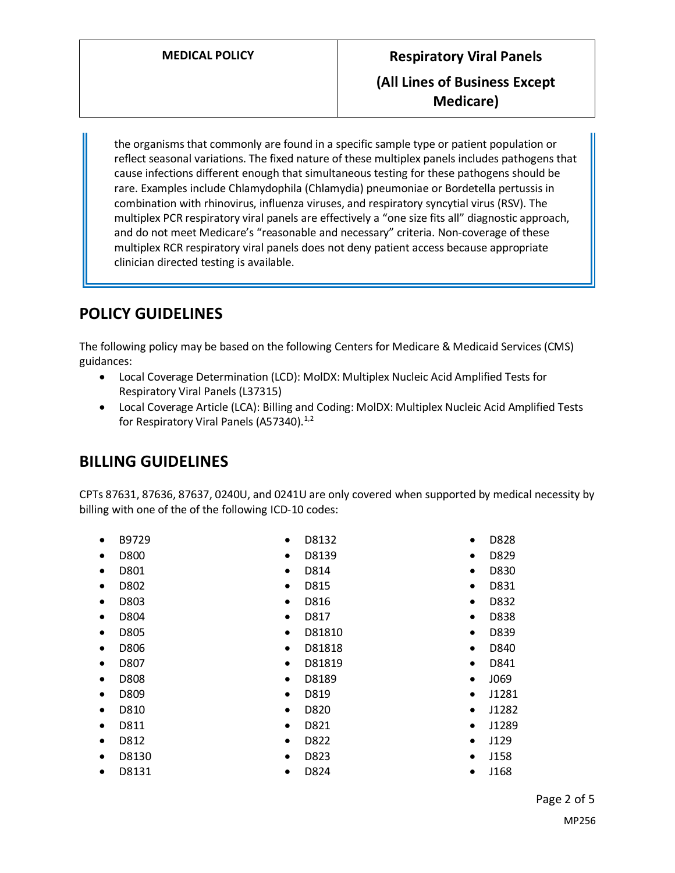the organisms that commonly are found in a specific sample type or patient population or reflect seasonal variations. The fixed nature of these multiplex panels includes pathogens that cause infections different enough that simultaneous testing for these pathogens should be rare. Examples include Chlamydophila (Chlamydia) pneumoniae or Bordetella pertussis in combination with rhinovirus, influenza viruses, and respiratory syncytial virus (RSV). The multiplex PCR respiratory viral panels are effectively a "one size fits all" diagnostic approach, and do not meet Medicare's "reasonable and necessary" criteria. Non-coverage of these multiplex RCR respiratory viral panels does not deny patient access because appropriate clinician directed testing is available.

# **POLICY GUIDELINES**

The following policy may be based on the following Centers for Medicare & Medicaid Services (CMS) guidances:

- Local Coverage Determination (LCD): MolDX: Multiplex Nucleic Acid Amplified Tests for Respiratory Viral Panels (L37315)
- Local Coverage Article (LCA): Billing and Coding: MolDX: Multiplex Nucleic Acid Amplified Tests for Respiratory Viral Panels (A57340). $1/2$

# **BILLING GUIDELINES**

CPTs 87631, 87636, 87637, 0240U, and 0241U are only covered when supported by medical necessity by billing with one of the of the following ICD-10 codes:

- B9729
- D800
- D801
- D802
- D803
- D804
- D805
- D806
- D807
- D808
- D809
- D810
- D811
- D812
- D8130
- D8131

• D8139 • D814

• D8132

- D815
- D816
- D817
- D81810
- D81818
- D81819
- D8189
- D819
- D820
- D821
- D822
- D823
- D824
- D829 • D830
- D831
- D832
- D838

• D828

- D839
- D840
- D841
- J069
- J1281
- J1282
- J1289
- J129
- J158
- J168
- Page 2 of 5
	- MP256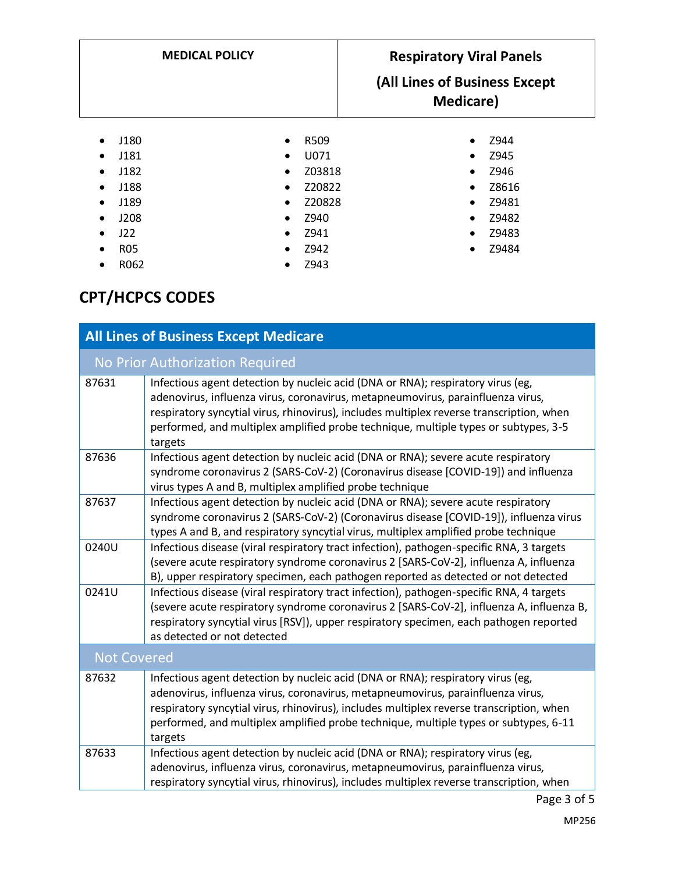| <b>MEDICAL POLICY</b>                                                                                                                                                             |                                                                                                                                                                                    | <b>Respiratory Viral Panels</b><br>(All Lines of Business Except<br><b>Medicare</b> ) |                                                                   |
|-----------------------------------------------------------------------------------------------------------------------------------------------------------------------------------|------------------------------------------------------------------------------------------------------------------------------------------------------------------------------------|---------------------------------------------------------------------------------------|-------------------------------------------------------------------|
| J180<br>$\bullet$<br>J181<br>$\bullet$<br>J182<br>$\bullet$<br>J188<br>$\bullet$<br>J189<br>$\bullet$<br>J208<br>$\bullet$<br>J22<br>$\bullet$<br><b>R05</b><br>$\bullet$<br>R062 | R509<br>$\bullet$<br>U071<br>$\bullet$<br>Z03818<br>$\bullet$<br>Z20822<br>$\bullet$<br>Z20828<br>$\bullet$<br>Z940<br>$\bullet$<br>Z941<br>$\bullet$<br>Z942<br>$\bullet$<br>Z943 | $\bullet$<br>٠<br>$\bullet$<br>$\bullet$<br>$\bullet$<br>٠<br>$\bullet$<br>٠          | Z944<br>Z945<br>Z946<br>Z8616<br>Z9481<br>Z9482<br>Z9483<br>Z9484 |

# **CPT/HCPCS CODES**

| <b>All Lines of Business Except Medicare</b> |                                                                                                                                                                                                                                                                                                                                                                   |  |  |
|----------------------------------------------|-------------------------------------------------------------------------------------------------------------------------------------------------------------------------------------------------------------------------------------------------------------------------------------------------------------------------------------------------------------------|--|--|
| No Prior Authorization Required              |                                                                                                                                                                                                                                                                                                                                                                   |  |  |
| 87631                                        | Infectious agent detection by nucleic acid (DNA or RNA); respiratory virus (eg,<br>adenovirus, influenza virus, coronavirus, metapneumovirus, parainfluenza virus,<br>respiratory syncytial virus, rhinovirus), includes multiplex reverse transcription, when<br>performed, and multiplex amplified probe technique, multiple types or subtypes, 3-5<br>targets  |  |  |
| 87636                                        | Infectious agent detection by nucleic acid (DNA or RNA); severe acute respiratory<br>syndrome coronavirus 2 (SARS-CoV-2) (Coronavirus disease [COVID-19]) and influenza<br>virus types A and B, multiplex amplified probe technique                                                                                                                               |  |  |
| 87637                                        | Infectious agent detection by nucleic acid (DNA or RNA); severe acute respiratory<br>syndrome coronavirus 2 (SARS-CoV-2) (Coronavirus disease [COVID-19]), influenza virus<br>types A and B, and respiratory syncytial virus, multiplex amplified probe technique                                                                                                 |  |  |
| 0240U                                        | Infectious disease (viral respiratory tract infection), pathogen-specific RNA, 3 targets<br>(severe acute respiratory syndrome coronavirus 2 [SARS-CoV-2], influenza A, influenza<br>B), upper respiratory specimen, each pathogen reported as detected or not detected                                                                                           |  |  |
| 0241U                                        | Infectious disease (viral respiratory tract infection), pathogen-specific RNA, 4 targets<br>(severe acute respiratory syndrome coronavirus 2 [SARS-CoV-2], influenza A, influenza B,<br>respiratory syncytial virus [RSV]), upper respiratory specimen, each pathogen reported<br>as detected or not detected                                                     |  |  |
| <b>Not Covered</b>                           |                                                                                                                                                                                                                                                                                                                                                                   |  |  |
| 87632                                        | Infectious agent detection by nucleic acid (DNA or RNA); respiratory virus (eg,<br>adenovirus, influenza virus, coronavirus, metapneumovirus, parainfluenza virus,<br>respiratory syncytial virus, rhinovirus), includes multiplex reverse transcription, when<br>performed, and multiplex amplified probe technique, multiple types or subtypes, 6-11<br>targets |  |  |
| 87633                                        | Infectious agent detection by nucleic acid (DNA or RNA); respiratory virus (eg,<br>adenovirus, influenza virus, coronavirus, metapneumovirus, parainfluenza virus,<br>respiratory syncytial virus, rhinovirus), includes multiplex reverse transcription, when                                                                                                    |  |  |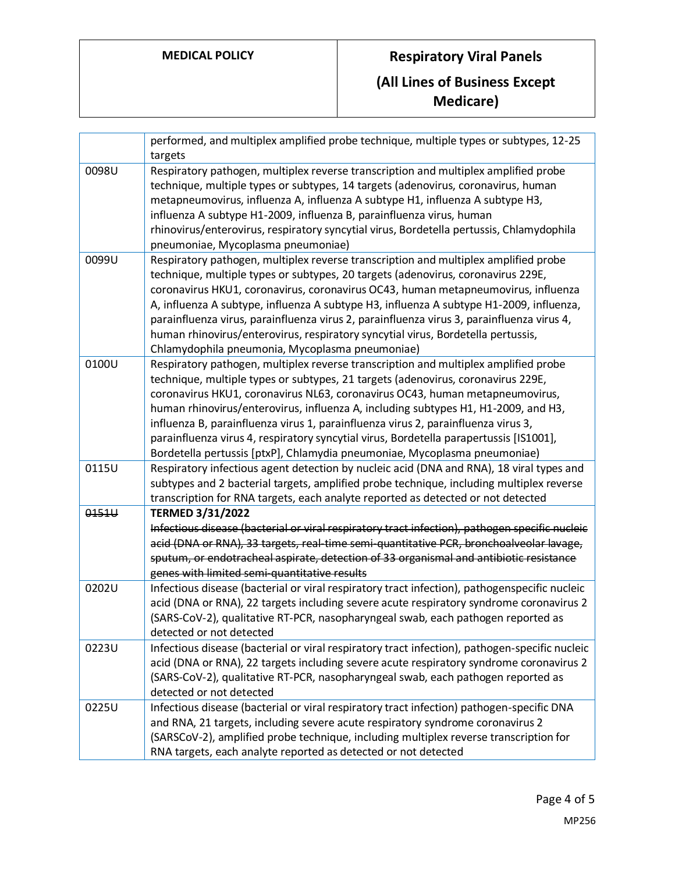# **MEDICAL POLICY Respiratory Viral Panels (All Lines of Business Except Medicare)**

|       | performed, and multiplex amplified probe technique, multiple types or subtypes, 12-25<br>targets                                                                                                                                                                                                                                                                                                                                                                                                                                                                                                          |
|-------|-----------------------------------------------------------------------------------------------------------------------------------------------------------------------------------------------------------------------------------------------------------------------------------------------------------------------------------------------------------------------------------------------------------------------------------------------------------------------------------------------------------------------------------------------------------------------------------------------------------|
| 0098U | Respiratory pathogen, multiplex reverse transcription and multiplex amplified probe<br>technique, multiple types or subtypes, 14 targets (adenovirus, coronavirus, human<br>metapneumovirus, influenza A, influenza A subtype H1, influenza A subtype H3,<br>influenza A subtype H1-2009, influenza B, parainfluenza virus, human<br>rhinovirus/enterovirus, respiratory syncytial virus, Bordetella pertussis, Chlamydophila<br>pneumoniae, Mycoplasma pneumoniae)                                                                                                                                       |
| 0099U | Respiratory pathogen, multiplex reverse transcription and multiplex amplified probe<br>technique, multiple types or subtypes, 20 targets (adenovirus, coronavirus 229E,<br>coronavirus HKU1, coronavirus, coronavirus OC43, human metapneumovirus, influenza<br>A, influenza A subtype, influenza A subtype H3, influenza A subtype H1-2009, influenza,<br>parainfluenza virus, parainfluenza virus 2, parainfluenza virus 3, parainfluenza virus 4,<br>human rhinovirus/enterovirus, respiratory syncytial virus, Bordetella pertussis,<br>Chlamydophila pneumonia, Mycoplasma pneumoniae)               |
| 0100U | Respiratory pathogen, multiplex reverse transcription and multiplex amplified probe<br>technique, multiple types or subtypes, 21 targets (adenovirus, coronavirus 229E,<br>coronavirus HKU1, coronavirus NL63, coronavirus OC43, human metapneumovirus,<br>human rhinovirus/enterovirus, influenza A, including subtypes H1, H1-2009, and H3,<br>influenza B, parainfluenza virus 1, parainfluenza virus 2, parainfluenza virus 3,<br>parainfluenza virus 4, respiratory syncytial virus, Bordetella parapertussis [IS1001],<br>Bordetella pertussis [ptxP], Chlamydia pneumoniae, Mycoplasma pneumoniae) |
| 0115U | Respiratory infectious agent detection by nucleic acid (DNA and RNA), 18 viral types and<br>subtypes and 2 bacterial targets, amplified probe technique, including multiplex reverse<br>transcription for RNA targets, each analyte reported as detected or not detected                                                                                                                                                                                                                                                                                                                                  |
| 0151U | <b>TERMED 3/31/2022</b><br>Infectious disease (bacterial or viral respiratory tract infection), pathogen specific nucleic<br>acid (DNA or RNA), 33 targets, real-time semi-quantitative PCR, bronchoalveolar lavage,<br>sputum, or endotracheal aspirate, detection of 33 organismal and antibiotic resistance<br>genes with limited semi-quantitative results                                                                                                                                                                                                                                            |
| 0202U | Infectious disease (bacterial or viral respiratory tract infection), pathogenspecific nucleic<br>acid (DNA or RNA), 22 targets including severe acute respiratory syndrome coronavirus 2<br>(SARS-CoV-2), qualitative RT-PCR, nasopharyngeal swab, each pathogen reported as<br>detected or not detected                                                                                                                                                                                                                                                                                                  |
| 0223U | Infectious disease (bacterial or viral respiratory tract infection), pathogen-specific nucleic<br>acid (DNA or RNA), 22 targets including severe acute respiratory syndrome coronavirus 2<br>(SARS-CoV-2), qualitative RT-PCR, nasopharyngeal swab, each pathogen reported as<br>detected or not detected                                                                                                                                                                                                                                                                                                 |
| 0225U | Infectious disease (bacterial or viral respiratory tract infection) pathogen-specific DNA<br>and RNA, 21 targets, including severe acute respiratory syndrome coronavirus 2<br>(SARSCoV-2), amplified probe technique, including multiplex reverse transcription for<br>RNA targets, each analyte reported as detected or not detected                                                                                                                                                                                                                                                                    |